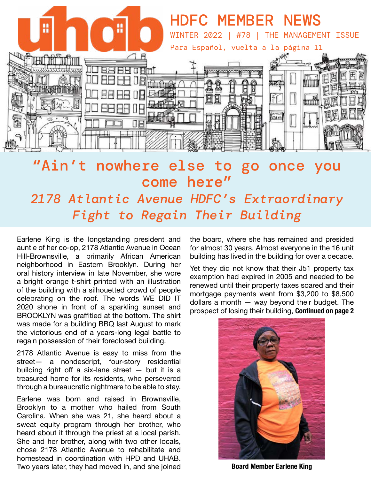

## "Ain't nowhere else to go once you come here" *2178 Atlantic Avenue HDFC's Extraordinary Fight to Regain Their Building*

Earlene King is the longstanding president and auntie of her co-op, 2178 Atlantic Avenue in Ocean Hill-Brownsville, a primarily African American neighborhood in Eastern Brooklyn. During her oral history interview in late November, she wore a bright orange t-shirt printed with an illustration of the building with a silhouetted crowd of people celebrating on the roof. The words WE DID IT 2020 shone in front of a sparkling sunset and BROOKLYN was graffitied at the bottom. The shirt was made for a building BBQ last August to mark the victorious end of a years-long legal battle to regain possession of their foreclosed building.

2178 Atlantic Avenue is easy to miss from the street— a nondescript, four-story residential building right off a six-lane street  $-$  but it is a treasured home for its residents, who persevered through a bureaucratic nightmare to be able to stay.

Earlene was born and raised in Brownsville, Brooklyn to a mother who hailed from South Carolina. When she was 21, she heard about a sweat equity program through her brother, who heard about it through the priest at a local parish. She and her brother, along with two other locals, chose 2178 Atlantic Avenue to rehabilitate and homestead in coordination with HPD and UHAB. Two years later, they had moved in, and she joined the board, where she has remained and presided for almost 30 years. Almost everyone in the 16 unit building has lived in the building for over a decade.

Yet they did not know that their J51 property tax exemption had expired in 2005 and needed to be renewed until their property taxes soared and their mortgage payments went from \$3,200 to \$8,500 dollars a month — way beyond their budget. The prospect of losing their building, **Continued on page 2** 



**Board Member Earlene King**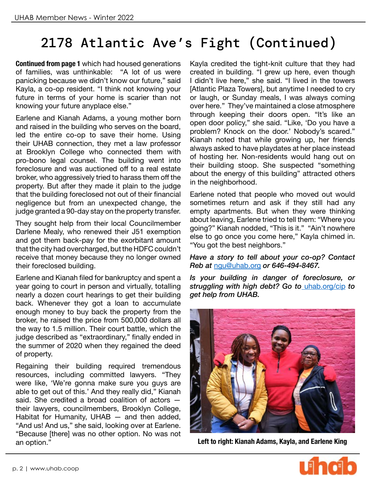# 2178 Atlantic Ave's Fight (Continued)

**Continued from page 1** which had housed generations of families, was unthinkable: "A lot of us were panicking because we didn't know our future," said Kayla, a co-op resident. "I think not knowing your future in terms of your home is scarier than not knowing your future anyplace else."

Earlene and Kianah Adams, a young mother born and raised in the building who serves on the board, led the entire co-op to save their home. Using their UHAB connection, they met a law professor at Brooklyn College who connected them with pro-bono legal counsel. The building went into foreclosure and was auctioned off to a real estate broker, who aggressively tried to harass them off the property. But after they made it plain to the judge that the building foreclosed not out of their financial negligence but from an unexpected change, the judge granted a 90-day stay on the property transfer.

They sought help from their local Councilmember Darlene Mealy, who renewed their J51 exemption and got them back-pay for the exorbitant amount that the city had overcharged, but the HDFC couldn't receive that money because they no longer owned their foreclosed building.

Earlene and Kianah filed for bankruptcy and spent a year going to court in person and virtually, totalling nearly a dozen court hearings to get their building back. Whenever they got a loan to accumulate enough money to buy back the property from the broker, he raised the price from 500,000 dollars all the way to 1.5 million. Their court battle, which the judge described as "extraordinary," finally ended in the summer of 2020 when they regained the deed of property.

Regaining their building required tremendous resources, including committed lawyers. "They were like, 'We're gonna make sure you guys are able to get out of this.' And they really did," Kianah said. She credited a broad coalition of actors their lawyers, councilmembers, Brooklyn College, Habitat for Humanity, UHAB — and then added, "And us! And us," she said, looking over at Earlene. "Because [there] was no other option. No was not an option."

Kayla credited the tight-knit culture that they had created in building. "I grew up here, even though I didn't live here," she said. "I lived in the towers [Atlantic Plaza Towers], but anytime I needed to cry or laugh, or Sunday meals, I was always coming over here." They've maintained a close atmosphere through keeping their doors open. "It's like an open door policy," she said. "Like, 'Do you have a problem? Knock on the door.' Nobody's scared." Kianah noted that while growing up, her friends always asked to have playdates at her place instead of hosting her. Non-residents would hang out on their building stoop. She suspected "something about the energy of this building" attracted others in the neighborhood.

Earlene noted that people who moved out would sometimes return and ask if they still had any empty apartments. But when they were thinking about leaving, Earlene tried to tell them: "Where you going?" Kianah nodded, "This is it." "Ain't nowhere else to go once you come here," Kayla chimed in. "You got the best neighbors."

*Have a story to tell about your co-op? Contact Reb at* [ngu@uhab.org](mailto:ngu%40uhab.org?subject=) *or 646-494-8467.*

*Is your building in danger of foreclosure, or struggling with high debt? Go to* [uhab.org/cip](http:// uhab.org/cip ) *to get help from UHAB.*



**Left to right: Kianah Adams, Kayla, and Earlene King**

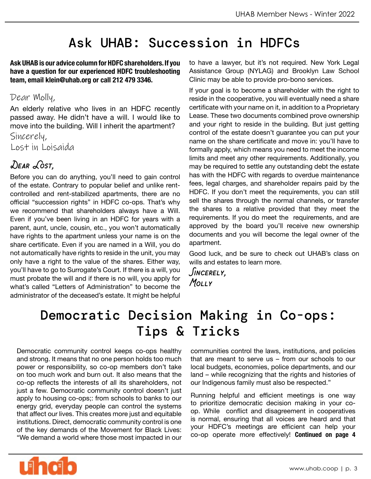## Ask UHAB: Succession in HDFCs

**Ask UHAB is our advice column for HDFC shareholders. If you have a question for our experienced HDFC troubleshooting team, email klein@uhab.org or call 212 479 3346.** 

#### Dear Molly,

An elderly relative who lives in an HDFC recently passed away. He didn't have a will. I would like to move into the building. Will I inherit the apartment?

Sincerely, Lost in Loisaida

#### *Dear Lost,*

Before you can do anything, you'll need to gain control of the estate. Contrary to popular belief and unlike rentcontrolled and rent-stabilized apartments, there are no official "succession rights" in HDFC co-ops. That's why we recommend that shareholders always have a Will. Even if you've been living in an HDFC for years with a parent, aunt, uncle, cousin, etc., you won't automatically have rights to the apartment unless your name is on the share certificate. Even if you are named in a Will, you do not automatically have rights to reside in the unit, you may only have a right to the value of the shares. Either way, you'll have to go to Surrogate's Court. If there is a will, you must probate the will and if there is no will, you apply for what's called "Letters of Administration" to become the administrator of the deceased's estate. It might be helpful

to have a lawyer, but it's not required. New York Legal Assistance Group (NYLAG) and Brooklyn Law School Clinic may be able to provide pro-bono services.

If your goal is to become a shareholder with the right to reside in the cooperative, you will eventually need a share certificate with your name on it, in addition to a Proprietary Lease. These two documents combined prove ownership and your right to reside in the building. But just getting control of the estate doesn't guarantee you can put your name on the share certificate and move in: you'll have to formally apply, which means you need to meet the income limits and meet any other requirements. Additionally, you may be required to settle any outstanding debt the estate has with the HDFC with regards to overdue maintenance fees, legal charges, and shareholder repairs paid by the HDFC. If you don't meet the requirements, you can still sell the shares through the normal channels, or transfer the shares to a relative provided that they meet the requirements. If you do meet the requirements, and are approved by the board you'll receive new ownership documents and you will become the legal owner of the apartment.

Good luck, and be sure to check out UHAB's class on wills and estates to learn more.

*Sincerely, Molly*

## Democratic Decision Making in Co-ops: Tips & Tricks

Democratic community control keeps co-ops healthy and strong. It means that no one person holds too much power or responsibility, so co-op members don't take on too much work and burn out. It also means that the co-op reflects the interests of all its shareholders, not just a few. Democratic community control doesn't just apply to housing co-ops;: from schools to banks to our energy grid, everyday people can control the systems that affect our lives. This creates more just and equitable institutions. Direct, democratic community control is one of the key demands of the Movement for Black Lives: "We demand a world where those most impacted in our

communities control the laws, institutions, and policies that are meant to serve us – from our schools to our local budgets, economies, police departments, and our land – while recognizing that the rights and histories of our Indigenous family must also be respected."

Running helpful and efficient meetings is one way to prioritize democratic decision making in your coop. While conflict and disagreement in cooperatives is normal, ensuring that all voices are heard and that your HDFC's meetings are efficient can help your co-op operate more effectively! **Continued on page 4** 

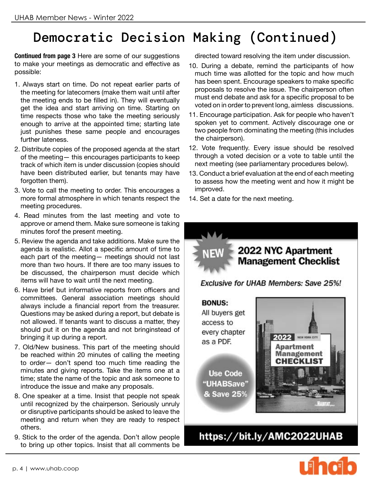## Democratic Decision Making (Continued)

**Continued from page 3** Here are some of our suggestions to make your meetings as democratic and effective as possible:

- 1. Always start on time. Do not repeat earlier parts of the meeting for latecomers (make them wait until after the meeting ends to be filled in). They will eventually get the idea and start arriving on time. Starting on time respects those who take the meeting seriously enough to arrive at the appointed time; starting late just punishes these same people and encourages further lateness.
- 2. Distribute copies of the proposed agenda at the start of the meeting— this encourages participants to keep track of which item is under discussion (copies should have been distributed earlier, but tenants may have forgotten them).
- 3. Vote to call the meeting to order. This encourages a more formal atmosphere in which tenants respect the meeting procedures.
- 4. Read minutes from the last meeting and vote to approve or amend them. Make sure someone is taking minutes forof the present meeting.
- 5. Review the agenda and take additions. Make sure the agenda is realistic. Allot a specific amount of time to each part of the meeting— meetings should not last more than two hours. If there are too many issues to be discussed, the chairperson must decide which items will have to wait until the next meeting.
- 6. Have brief but informative reports from officers and committees. General association meetings should always include a financial report from the treasurer. Questions may be asked during a report, but debate is not allowed. If tenants want to discuss a matter, they should put it on the agenda and not bringinstead of bringing it up during a report.
- 7. Old/New business. This part of the meeting should be reached within 20 minutes of calling the meeting to order— don't spend too much time reading the minutes and giving reports. Take the items one at a time; state the name of the topic and ask someone to introduce the issue and make any proposals.
- 8. One speaker at a time. Insist that people not speak until recognized by the chairperson. Seriously unruly or disruptive participants should be asked to leave the meeting and return when they are ready to respect others.
- 9. Stick to the order of the agenda. Don't allow people to bring up other topics. Insist that all comments be

directed toward resolving the item under discussion.

- 10. During a debate, remind the participants of how much time was allotted for the topic and how much has been spent. Encourage speakers to make specific proposals to resolve the issue. The chairperson often must end debate and ask for a specific proposal to be voted on in order to prevent long, aimless discussions.
- 11. Encourage participation. Ask for people who haven't spoken yet to comment. Actively discourage one or two people from dominating the meeting (this includes the chairperson).
- 12. Vote frequently. Every issue should be resolved through a voted decision or a vote to table until the next meeting (see parliamentary procedures below).
- 13. Conduct a brief evaluation at the end of each meeting to assess how the meeting went and how it might be improved.
- 14. Set a date for the next meeting.

#### 2022 NYC Apartment **Management Checklist** Exclusive for UHAB Members: Save 25%! **BONUS:** All buyers get access to every chapter NEW YORK CITY as a PDF.

**Use Code** "UHABSave" & Save 25%



https://bit.ly/AMC2022UHAB

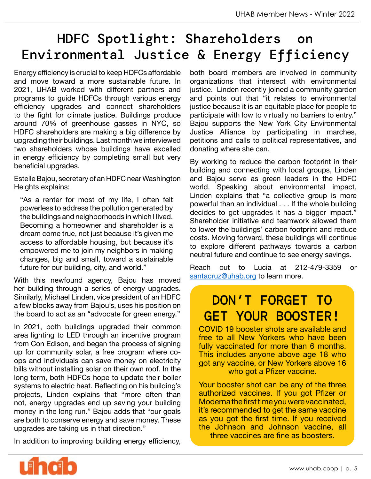## HDFC Spotlight: Shareholders on Environmental Justice & Energy Efficiency

Energy efficiency is crucial to keep HDFCs affordable and move toward a more sustainable future. In 2021, UHAB worked with different partners and programs to guide HDFCs through various energy efficiency upgrades and connect shareholders to the fight for climate justice. Buildings produce around 70% of greenhouse gasses in NYC, so HDFC shareholders are making a big difference by upgrading their buildings. Last month we interviewed two shareholders whose buildings have excelled in energy efficiency by completing small but very beneficial upgrades.

Estelle Bajou, secretary of an HDFC near Washington Heights explains:

"As a renter for most of my life, I often felt powerless to address the pollution generated by the buildings and neighborhoods in which I lived. Becoming a homeowner and shareholder is a dream come true, not just because it's given me access to affordable housing, but because it's empowered me to join my neighbors in making changes, big and small, toward a sustainable future for our building, city, and world."

With this newfound agency, Bajou has moved her building through a series of energy upgrades. Similarly, Michael Linden, vice president of an HDFC a few blocks away from Bajou's, uses his position on the board to act as an "advocate for green energy."

In 2021, both buildings upgraded their common area lighting to LED through an incentive program from Con Edison, and began the process of signing up for community solar, a free program where coops and individuals can save money on electricity bills without installing solar on their own roof. In the long term, both HDFCs hope to update their boiler systems to electric heat. Reflecting on his building's projects, Linden explains that "more often than not, energy upgrades end up saving your building money in the long run." Bajou adds that "our goals are both to conserve energy and save money. These upgrades are taking us in that direction."

In addition to improving building energy efficiency,

both board members are involved in community organizations that intersect with environmental justice. Linden recently joined a community garden and points out that "it relates to environmental justice because it is an equitable place for people to participate with low to virtually no barriers to entry." Bajou supports the New York City Environmental Justice Alliance by participating in marches, petitions and calls to political representatives, and donating where she can.

By working to reduce the carbon footprint in their building and connecting with local groups, Linden and Bajou serve as green leaders in the HDFC world. Speaking about environmental impact, Linden explains that "a collective group is more powerful than an individual . . . If the whole building decides to get upgrades it has a bigger impact." Shareholder initiative and teamwork allowed them to lower the buildings' carbon footprint and reduce costs. Moving forward, these buildings will continue to explore different pathways towards a carbon neutral future and continue to see energy savings.

Reach out to Lucia at 212-479-3359 or [santacruz@uhab.org](mailto:santacruz%40uhab.org?subject=) to learn more.

#### DON'T FORGET TO GET YOUR BOOSTER!

COVID 19 booster shots are available and free to all New Yorkers who have been fully vaccinated for more than 6 months. This includes anyone above age 18 who got any vaccine, or New Yorkers above 16 who got a Pfizer vaccine.

Your booster shot can be any of the three authorized vaccines. If you got Pfizer or Moderna the first time you were vaccinated, it's recommended to get the same vaccine as you got the first time. If you received the Johnson and Johnson vaccine, all three vaccines are fine as boosters.

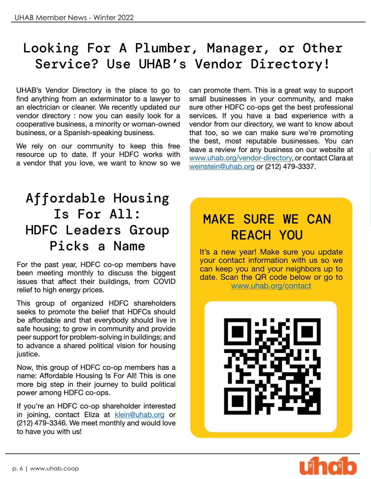## Looking For A Plumber, Manager, or Other Service? Use UHAB's Vendor Directory!

UHAB's Vendor Directory is the place to go to find anything from an exterminator to a lawyer to an electrician or cleaner. We recently updated our vendor directory : now you can easily look for a cooperative business, a minority or woman-owned business, or a Spanish-speaking business.

We rely on our community to keep this free resource up to date. If your HDFC works with a vendor that you love, we want to know so we

can promote them. This is a great way to support small businesses in your community, and make sure other HDFC co-ops get the best professional services. If you have a bad experience with a vendor from our directory, we want to know about that too, so we can make sure we're promoting the best, most reputable businesses. You can leave a review for any business on our website at [www.uhab.org/vendor-directory](http://www.uhab.org/vendor-directory), or contact Clara at [weinstein@uhab.org](mailto:weinstein%40uhab.org?subject=) or (212) 479-3337.

## Affordable Housing Is For All: HDFC Leaders Group Picks a Name

For the past year, HDFC co-op members have been meeting monthly to discuss the biggest issues that affect their buildings, from COVID relief to high energy prices.

This group of organized HDFC shareholders seeks to promote the belief that HDFCs should be affordable and that everybody should live in safe housing; to grow in community and provide peer support for problem-solving in buildings; and to advance a shared political vision for housing justice.

Now, this group of HDFC co-op members has a name: Affordable Housing Is For All! This is one more big step in their journey to build political power among HDFC co-ops.

If you're an HDFC co-op shareholder interested in joining, contact Eliza at [klein@uhab.org](mailto:klein@uhab.org) or (212) 479-3346. We meet monthly and would love to have you with us!

## MAKE SURE WE CAN REACH YOU

It's a new year! Make sure you update your contact information with us so we can keep you and your neighbors up to date. Scan the QR code below or go to [www.uhab.org/contact](http://www.uhab.org/contact)



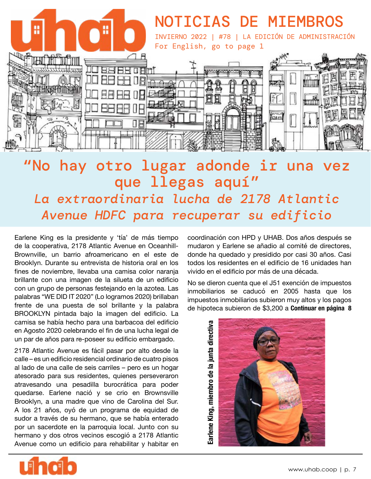

## "No hay otro lugar adonde ir una vez que llegas aquí" *La extraordinaria lucha de 2178 Atlantic Avenue HDFC para recuperar su edificio*

Earlene King es la presidente y 'tía' de más tiempo de la cooperativa, 2178 Atlantic Avenue en Oceanhill-Brownville, un barrio afroamericano en el este de Brooklyn. Durante su entrevista de historia oral en los fines de noviembre, llevaba una camisa color naranja brillante con una imagen de la silueta de un edificio con un grupo de personas festejando en la azotea. Las palabras "WE DID IT 2020" (Lo logramos 2020) brillaban frente de una puesta de sol brillante y la palabra BROOKLYN pintada bajo la imagen del edificio. La camisa se había hecho para una barbacoa del edificio en Agosto 2020 celebrando el fin de una lucha legal de un par de años para re-poseer su edificio embargado.

2178 Atlantic Avenue es fácil pasar por alto desde la calle – es un edificio residencial ordinario de cuatro pisos al lado de una calle de seis carriles – pero es un hogar atesorado para sus residentes, quienes perseveraron atravesando una pesadilla burocrática para poder quedarse. Earlene nació y se crio en Brownsville Brooklyn, a una madre que vino de Carolina del Sur. A los 21 años, oyó de un programa de equidad de sudor a través de su hermano, que se había enterado por un sacerdote en la parroquia local. Junto con su hermano y dos otros vecinos escogió a 2178 Atlantic Avenue como un edificio para rehabilitar y habitar en

coordinación con HPD y UHAB. Dos años después se mudaron y Earlene se añadio al comité de directores, donde ha quedado y presidido por casi 30 años. Casi todos los residentes en el edificio de 16 unidades han vivido en el edificio por más de una década.

No se dieron cuenta que el J51 exención de impuestos inmobiliarios se caducó en 2005 hasta que los impuestos inmobiliarios subieron muy altos y los pagos de hipoteca subieron de \$3,200 a **Continuar en página 8** 



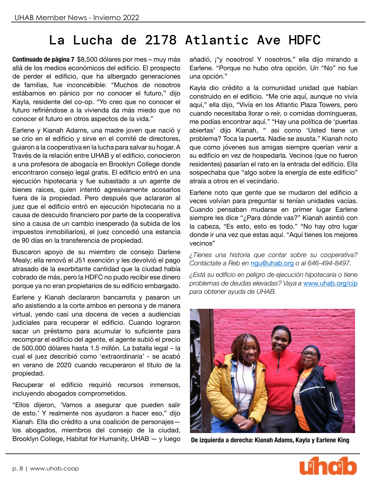## La Lucha de 2178 Atlantic Ave HDFC

**Continuado de página 7** \$8,500 dólares por mes – muy más allá de los medios económicos del edificio. El prospecto de perder el edificio, que ha albergado generaciones de familias, fue inconcebible: "Muchos de nosotros estábamos en pánico por no conocer el futuro," dijo Kayla, residente del co-op. "Yo creo que no conocer el futuro refiriéndose a la vivienda da más miedo que no conocer el futuro en otros aspectos de la vida."

Earlene y Kianah Adams, una madre joven que nació y se crio en el edificio y sirve en el comité de directores, guiaron a la cooperativa en la lucha para salvar su hogar. A Través de la relación entre UHAB y el edificio, conocieron a una profesora de abogacía en Brooklyn College donde encontraron consejo legal gratis. El edificio entró en una ejecución hipotecaria y fue subastado a un agente de bienes raíces, quien intentó agresivamente acosarlos fuera de la propiedad. Pero después que aclararon al juez que el edificio entró en ejecución hipotecaria no a causa de descuido financiero por parte de la cooperativa sino a causa de un cambio inesperado (la subida de los impuestos inmobiliarios), el juez concedió una estancia de 90 días en la transferencia de propiedad.

Buscaron apoyo de su miembro de consejo Darlene Mealy; ella renovó el J51 exención y les devolvió el pago atrasado de la exorbitante cantidad que la ciudad había cobrado de más, pero la HDFC no pudo recibir ese dinero porque ya no eran propietarios de su edificio embargado.

Earlene y Kianah declararon bancarrota y pasaron un año asistiendo a la corte ambos en persona y de manera virtual, yendo casi una docena de veces a audiencias judiciales para recuperar el edificio. Cuando lograron sacar un préstamo para acumular lo suficiente para recomprar el edificio del agente, el agente subió el precio de 500,000 dólares hasta 1.5 millón. La batalla legal – la cual el juez describió como 'extraordinaria' - se acabó en verano de 2020 cuando recuperaron el título de la propiedad.

Recuperar el edificio requirió recursos inmensos, incluyendo abogados comprometidos.

"Ellos dijeron, 'Vamos a asegurar que pueden salir de esto.' Y realmente nos ayudaron a hacer eso," dijo Kianah. Ella dio crédito a una coalición de personajes los abogados, miembros del consejo de la ciudad, Brooklyn College, Habitat for Humanity, UHAB — y luego añadió, ¡"y nosotros! Y nosotros," ella dijo mirando a Earlene. "Porque no hubo otra opción. Un "No" no fue una opción."

Kayla dio crédito a la comunidad unidad que habían construido en el edificio. "Me crie aquí, aunque no vivía aquí," ella dijo, "Vivía en los Atlantic Plaza Towers, pero cuando necesitaba llorar o reír, o comidas domingueras, me podías encontrar aquí." "Hay una política de 'puertas abiertas' dijo Kianah, " asi como 'Usted tiene un problema? Toca la puerta. Nadie se asusta." Kianah noto que como jóvenes sus amigas siempre querían venir a su edificio en vez de hospedarla. Vecinos (que no fueron residentes) pasarían el rato en la entrada del edificio. Ella sospechaba que "algo sobre la energía de este edificio" atraía a otros en el vecindario.

Earlene noto que gente que se mudaron del edificio a veces volvían para preguntar si tenían unidades vacías. Cuando pensaban mudarse en primer lugar Earlene siempre les dice "¿Para dónde vas?" Kianah asintió con la cabeza, "Es esto, esto es todo." "No hay otro lugar donde ir una vez que estas aquí. "Aquí tienes los mejores vecinos"

*¿Tienes una historia que contar sobre su cooperativa? Contáctate a Reb en* [ngu@uhab.org](mailto:ngu@uhab.org) *o al 646-494-8497.* 

*¿Está su edificio en peligro de ejecución hipotecaria o tiene problemas de deudas elevadas? Vaya a* [www.uhab.org/cip](http://www.uhab.org/cip ) *para obtener ayuda de UHAB.*



**De izquierda a derecha: Kianah Adams, Kayla y Earlene King**

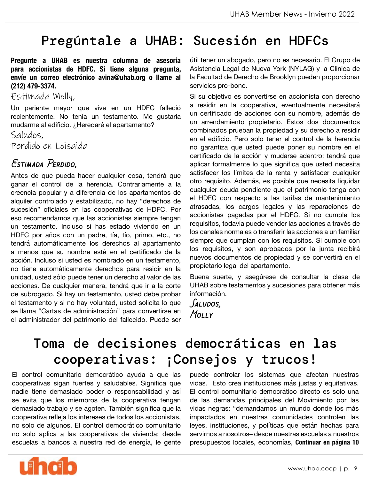## Pregúntale a UHAB: Sucesión en HDFCs

**Pregunte a UHAB es nuestra columna de asesoría para accionistas de HDFC. Si tiene alguna pregunta, envíe un correo electrónico avina@uhab.org o llame al (212) 479-3374.**

Estimada Molly,

Un pariente mayor que vive en un HDFC falleció recientemente. No tenía un testamento. Me gustaría mudarme al edificio. ¿Heredaré el apartamento?

Saludos,

Perdido en Loisaida

#### *Estimada Perdido,*

Antes de que pueda hacer cualquier cosa, tendrá que ganar el control de la herencia. Contrariamente a la creencia popular y a diferencia de los apartamentos de alquiler controlado y estabilizado, no hay "derechos de sucesión" oficiales en las cooperativas de HDFC. Por eso recomendamos que las accionistas siempre tengan un testamento. Incluso si has estado viviendo en un HDFC por años con un padre, tía, tío, primo, etc., no tendrá automáticamente los derechos al apartamento a menos que su nombre esté en el certificado de la acción. Incluso si usted es nombrado en un testamento, no tiene automáticamente derechos para residir en la unidad, usted sólo puede tener un derecho al valor de las acciones. De cualquier manera, tendrá que ir a la corte de subrogado. Si hay un testamento, usted debe probar el testamento y si no hay voluntad, usted solicita lo que se llama "Cartas de administración" para convertirse en el administrador del patrimonio del fallecido. Puede ser útil tener un abogado, pero no es necesario. El Grupo de Asistencia Legal de Nueva York (NYLAG) y la Clínica de la Facultad de Derecho de Brooklyn pueden proporcionar servicios pro-bono.

Si su objetivo es convertirse en accionista con derecho a residir en la cooperativa, eventualmente necesitará un certificado de acciones con su nombre, además de un arrendamiento propietario. Estos dos documentos combinados prueban la propiedad y su derecho a residir en el edificio. Pero solo tener el control de la herencia no garantiza que usted puede poner su nombre en el certificado de la acción y mudarse adentro: tendrá que aplicar formalmente lo que significa que usted necesita satisfacer los límites de la renta y satisfacer cualquier otro requisito. Además, es posible que necesita liquidar cualquier deuda pendiente que el patrimonio tenga con el HDFC con respecto a las tarifas de mantenimiento atrasadas, los cargos legales y las reparaciones de accionistas pagadas por el HDFC. Si no cumple los requisitos, todavía puede vender las acciones a través de los canales normales o transferir las acciones a un familiar siempre que cumplan con los requisitos. Si cumple con los requisitos, y son aprobados por la junta recibirá nuevos documentos de propiedad y se convertirá en el propietario legal del apartamento.

Buena suerte, y asegúrese de consultar la clase de UHAB sobre testamentos y sucesiones para obtener más información.

*Saludos, Molly*

## Toma de decisiones democráticas en las cooperativas: ¡Consejos y trucos!

El control comunitario democrático ayuda a que las cooperativas sigan fuertes y saludables. Significa que nadie tiene demasiado poder o responsabilidad y así se evita que los miembros de la cooperativa tengan demasiado trabajo y se agoten. También significa que la cooperativa refleja los intereses de todos los accionistas, no solo de algunos. El control democrático comunitario no solo aplica a las cooperativas de vivienda; desde escuelas a bancos a nuestra red de energía, le gente puede controlar los sistemas que afectan nuestras vidas. Esto crea instituciones más justas y equitativas. El control comunitario democrático directo es solo una de las demandas principales del Movimiento por las vidas negras: "demandamos un mundo donde los más impactados en nuestras comunidades controlen las leyes, instituciones, y políticas que están hechas para servirnos a nosotros– desde nuestras escuelas a nuestros presupuestos locales, economías, **Continuar en página 10** 

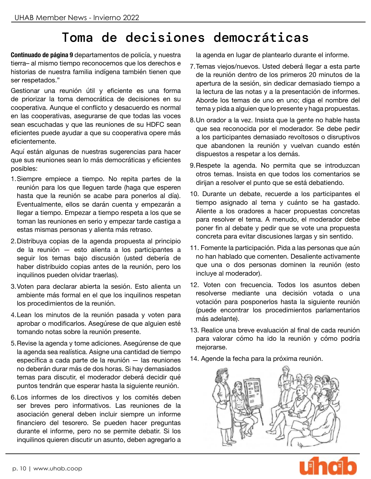## Toma de decisiones democráticas

**Continuado de página 9** departamentos de policía, y nuestra tierra– al mismo tiempo reconocemos que los derechos e historias de nuestra familia indígena también tienen que ser respetados."

Gestionar una reunión útil y eficiente es una forma de priorizar la toma democrática de decisiones en su cooperativa. Aunque el conflicto y desacuerdo es normal en las cooperativas, asegurarse de que todas las voces sean escuchadas y que las reuniones de su HDFC sean eficientes puede ayudar a que su cooperativa opere más eficientemente.

Aquí están algunas de nuestras sugerencias para hacer que sus reuniones sean lo más democráticas y eficientes posibles:

- 1.Siempre empiece a tiempo. No repita partes de la reunión para los que lleguen tarde (haga que esperen hasta que la reunión se acabe para ponerlos al día). Eventualmente, ellos se darán cuenta y empezarán a llegar a tiempo. Empezar a tiempo respeta a los que se toman las reuniones en serio y empezar tarde castiga a estas mismas personas y alienta más retraso.
- 2.Distribuya copias de la agenda propuesta al principio de la reunión — esto alienta a los participantes a seguir los temas bajo discusión (usted debería de haber distribuido copias antes de la reunión, pero los inquilinos pueden olvidar traerlas).
- 3.Voten para declarar abierta la sesión. Esto alienta un ambiente más formal en el que los inquilinos respetan los procedimientos de la reunión.
- 4.Lean los minutos de la reunión pasada y voten para aprobar o modificarlos. Asegúrese de que alguien esté tomando notas sobre la reunión presente.
- 5.Revise la agenda y tome adiciones. Asegúrense de que la agenda sea realística. Asigne una cantidad de tiempo específica a cada parte de la reunión — las reuniones no deberán durar más de dos horas. Si hay demasiados temas para discutir, el moderador deberá decidir qué puntos tendrán que esperar hasta la siguiente reunión.
- 6.Los informes de los directivos y los comités deben ser breves pero informativos. Las reuniones de la asociación general deben incluir siempre un informe financiero del tesorero. Se pueden hacer preguntas durante el informe, pero no se permite debatir. Si los inquilinos quieren discutir un asunto, deben agregarlo a

la agenda en lugar de plantearlo durante el informe.

- 7.Temas viejos/nuevos. Usted deberá llegar a esta parte de la reunión dentro de los primeros 20 minutos de la apertura de la sesión, sin dedicar demasiado tiempo a la lectura de las notas y a la presentación de informes. Aborde los temas de uno en uno; diga el nombre del tema y pida a alguien que lo presente y haga propuestas.
- 8.Un orador a la vez. Insista que la gente no hable hasta que sea reconocida por el moderador. Se debe pedir a los participantes demasiado revoltosos o disruptivos que abandonen la reunión y vuelvan cuando estén dispuestos a respetar a los demás.
- 9.Respete la agenda. No permita que se introduzcan otros temas. Insista en que todos los comentarios se dirijan a resolver el punto que se está debatiendo.
- 10. Durante un debate, recuerde a los participantes el tiempo asignado al tema y cuánto se ha gastado. Aliente a los oradores a hacer propuestas concretas para resolver el tema. A menudo, el moderador debe poner fin al debate y pedir que se vote una propuesta concreta para evitar discusiones largas y sin sentido.
- 11. Fomente la participación. Pida a las personas que aún no han hablado que comenten. Desaliente activamente que una o dos personas dominen la reunión (esto incluye al moderador).
- 12. Voten con frecuencia. Todos los asuntos deben resolverse mediante una decisión votada o una votación para posponerlos hasta la siguiente reunión (puede encontrar los procedimientos parlamentarios más adelante).
- 13. Realice una breve evaluación al final de cada reunión para valorar cómo ha ido la reunión y cómo podría mejorarse.
- 14. Agende la fecha para la próxima reunión.



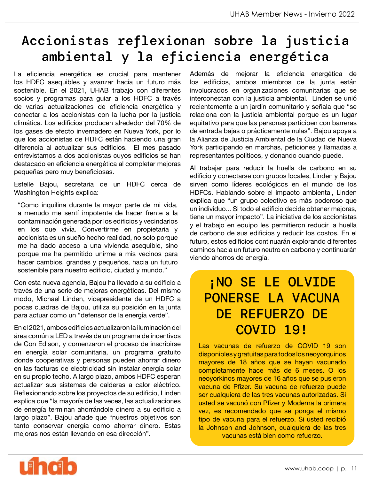## Accionistas reflexionan sobre la justicia ambiental y la eficiencia energética

La eficiencia energética es crucial para mantener los HDFC asequibles y avanzar hacia un futuro más sostenible. En el 2021, UHAB trabajo con diferentes socios y programas para guiar a los HDFC a través de varias actualizaciones de eficiencia energética y conectar a los accionistas con la lucha por la justicia climática. Los edificios producen alrededor del 70% de los gases de efecto invernadero en Nueva York, por lo que los accionistas de HDFC están haciendo una gran diferencia al actualizar sus edificios. El mes pasado entrevistamos a dos accionistas cuyos edificios se han destacado en eficiencia energética al completar mejoras pequeñas pero muy beneficiosas.

Estelle Bajou, secretaria de un HDFC cerca de Washington Heights explica:

"Como inquilina durante la mayor parte de mi vida, a menudo me sentí impotente de hacer frente a la contaminación generada por los edificios y vecindarios en los que vivía. Convertirme en propietaria y accionista es un sueño hecho realidad, no solo porque me ha dado acceso a una vivienda asequible, sino porque me ha permitido unirme a mis vecinos para hacer cambios, grandes y pequeños, hacia un futuro sostenible para nuestro edificio, ciudad y mundo."

Con esta nueva agencia, Bajou ha llevado a su edificio a través de una serie de mejoras energéticas. Del mismo modo, Michael Linden, vicepresidente de un HDFC a pocas cuadras de Bajou, utiliza su posición en la junta para actuar como un "defensor de la energía verde".

En el 2021, ambos edificios actualizaron la iluminación del área común a LED a través de un programa de incentivos de Con Edison, y comenzaron el proceso de inscribirse en energía solar comunitaria, un programa gratuito donde cooperativas y personas pueden ahorrar dinero en las facturas de electricidad sin instalar energía solar en su propio techo. A largo plazo, ambos HDFC esperan actualizar sus sistemas de calderas a calor eléctrico. Reflexionando sobre los proyectos de su edificio, Linden explica que "la mayoría de las veces, las actualizaciones de energía terminan ahorrándole dinero a su edificio a largo plazo". Bajou añade que "nuestros objetivos son tanto conservar energía como ahorrar dinero. Estas mejoras nos están llevando en esa dirección".

Además de mejorar la eficiencia energética de los edificios, ambos miembros de la junta están involucrados en organizaciones comunitarias que se interconectan con la justicia ambiental. Linden se unió recientemente a un jardín comunitario y señala que "se relaciona con la justicia ambiental porque es un lugar equitativo para que las personas participen con barreras de entrada bajas o prácticamente nulas". Bajou apoya a la Alianza de Justicia Ambiental de la Ciudad de Nueva York participando en marchas, peticiones y llamadas a representantes políticos, y donando cuando puede.

Al trabajar para reducir la huella de carbono en su edificio y conectarse con grupos locales, Linden y Bajou sirven como líderes ecológicos en el mundo de los HDFCs. Hablando sobre el impacto ambiental, Linden explica que "un grupo colectivo es más poderoso que un individuo... Si todo el edificio decide obtener mejoras, tiene un mayor impacto". La iniciativa de los accionistas y el trabajo en equipo les permitieron reducir la huella de carbono de sus edificios y reducir los costos. En el futuro, estos edificios continuarán explorando diferentes caminos hacia un futuro neutro en carbono y continuarán viendo ahorros de energía.

## ¡NO SE LE OLVIDE PONERSE LA VACUNA DE REFUERZO DE COVID 19!

Las vacunas de refuerzo de COVID 19 son disponibles y gratuitas para todos los neoyorquinos mayores de 18 años que se hayan vacunado completamente hace más de 6 meses. O los neoyorkinos mayores de 16 años que se pusieron vacuna de Pfizer. Su vacuna de refuerzo puede ser cualquiera de las tres vacunas autorizadas. Si usted se vacunó con Pfizer y Moderna la primera vez, es recomendado que se ponga el mismo tipo de vacuna para el refuerzo. Si usted recibió la Johnson and Johnson, cualquiera de las tres vacunas está bien como refuerzo.